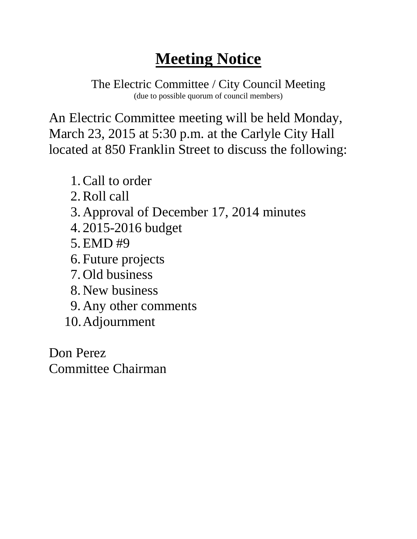The Electric Committee / City Council Meeting (due to possible quorum of council members)

An Electric Committee meeting will be held Monday, March 23, 2015 at 5:30 p.m. at the Carlyle City Hall located at 850 Franklin Street to discuss the following:

- 1.Call to order
- 2.Roll call
- 3. Approval of December 17, 2014 minutes
- 4. 2015-2016 budget
- 5.EMD #9
- 6. Future projects
- 7. Old business
- 8. New business
- 9. Any other comments
- 10.Adjournment

Don Perez Committee Chairman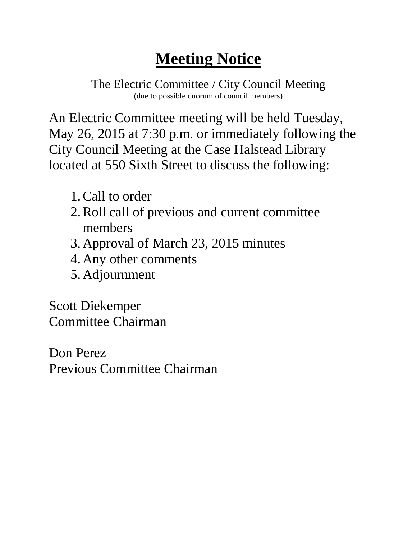The Electric Committee / City Council Meeting (due to possible quorum of council members)

An Electric Committee meeting will be held Tuesday, May 26, 2015 at 7:30 p.m. or immediately following the City Council Meeting at the Case Halstead Library located at 550 Sixth Street to discuss the following:

- 1.Call to order
- 2.Roll call of previous and current committee members
- 3. Approval of March 23, 2015 minutes
- 4. Any other comments
- 5. Adjournment

Scott Diekemper Committee Chairman

Don Perez Previous Committee Chairman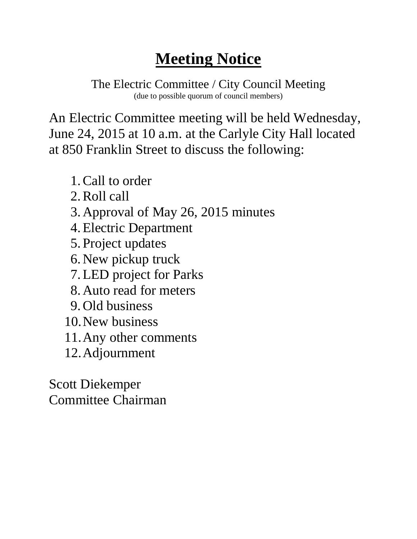The Electric Committee / City Council Meeting (due to possible quorum of council members)

An Electric Committee meeting will be held Wednesday, June 24, 2015 at 10 a.m. at the Carlyle City Hall located at 850 Franklin Street to discuss the following:

- 1.Call to order
- 2.Roll call
- 3. Approval of May 26, 2015 minutes
- 4.Electric Department
- 5. Project updates
- 6. New pickup truck
- 7.LED project for Parks
- 8. Auto read for meters
- 9. Old business
- 10.New business
- 11.Any other comments
- 12.Adjournment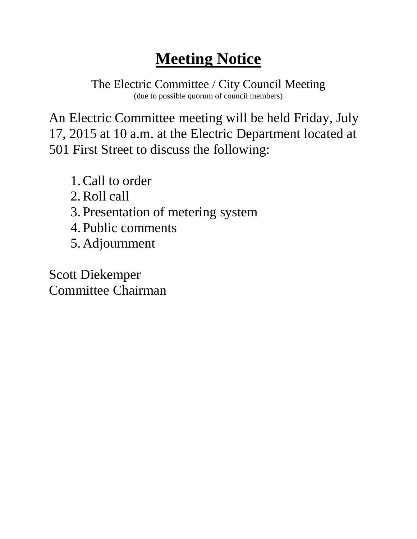The Electric Committee / City Council Meeting (due to possible quorum of council members)

An Electric Committee meeting will be held Friday, July 17, 2015 at 10 a.m. at the Electric Department located at 501 First Street to discuss the following:

- 1.Call to order
- 2.Roll call
- 3. Presentation of metering system
- 4. Public comments
- 5. Adjournment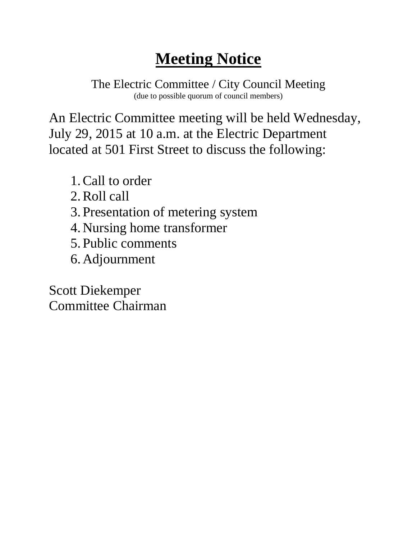The Electric Committee / City Council Meeting (due to possible quorum of council members)

An Electric Committee meeting will be held Wednesday, July 29, 2015 at 10 a.m. at the Electric Department located at 501 First Street to discuss the following:

- 1.Call to order
- 2.Roll call
- 3. Presentation of metering system
- 4. Nursing home transformer
- 5. Public comments
- 6. Adjournment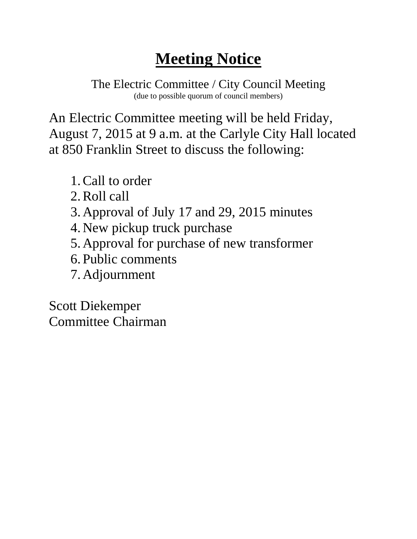The Electric Committee / City Council Meeting (due to possible quorum of council members)

An Electric Committee meeting will be held Friday, August 7, 2015 at 9 a.m. at the Carlyle City Hall located at 850 Franklin Street to discuss the following:

- 1.Call to order
- 2.Roll call
- 3. Approval of July 17 and 29, 2015 minutes
- 4. New pickup truck purchase
- 5. Approval for purchase of new transformer
- 6. Public comments
- 7. Adjournment